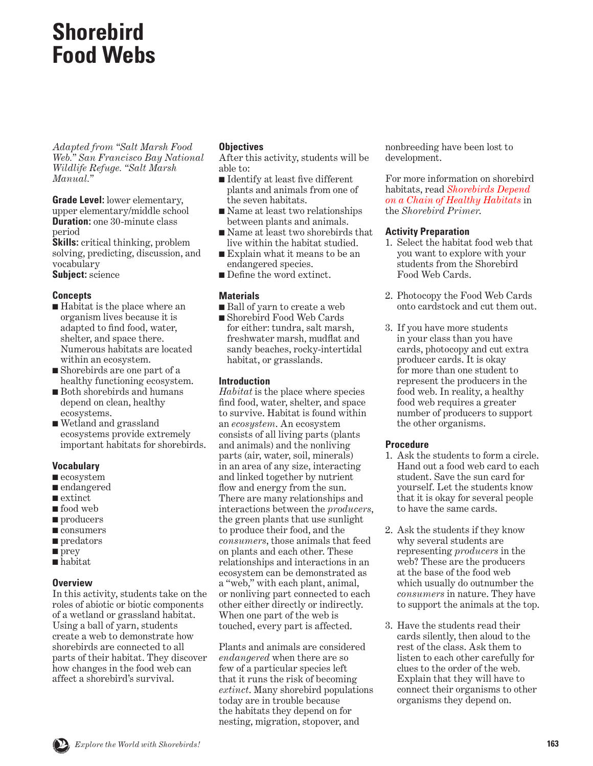#### <span id="page-0-0"></span>**Shorebird Food Webs**

*Adapted from "Salt Marsh Food Web." San Francisco Bay National Wildlife Refuge. "Salt Marsh Manual."*

**Grade Level:** lower elementary, upper elementary/middle school **Duration:** one 30-minute class period

**Skills:** critical thinking, problem solving, predicting, discussion, and vocabulary

**Subject:** science

#### **Concepts**

- Habitat is the place where an organism lives because it is adapted to find food, water, shelter, and space there. Numerous habitats are located within an ecosystem.
- Shorebirds are one part of a healthy functioning ecosystem.
- Both shorebirds and humans depend on clean, healthy ecosystems.
- Wetland and grassland ecosystems provide extremely important habitats for shorebirds.

#### **Vocabulary**

- ecosystem
- endangered
- extinct
- food web
- producers
- consumers
- predators
- prey
- habitat

#### **Overview**

In this activity, students take on the roles of abiotic or biotic components of a wetland or grassland habitat. Using a ball of yarn, students create a web to demonstrate how shorebirds are connected to all parts of their habitat. They discover how changes in the food web can affect a shorebird's survival.

#### **Objectives**

After this activity, students will be able to:

- Identify at least five different plants and animals from one of the seven habitats.
- Name at least two relationships between plants and animals.
- Name at least two shorebirds that live within the habitat studied.
- Explain what it means to be an endangered species.
- Define the word extinct.

#### **Materials**

- Ball of yarn to create a web
- Shorebird Food Web Cards for either: tundra, salt marsh, freshwater marsh, mudflat and sandy beaches, rocky-intertidal habitat, or grasslands.

#### **Introduction**

*Habitat* is the place where species find food, water, shelter, and space to survive. Habitat is found within an *ecosystem*. An ecosystem consists of all living parts (plants and animals) and the nonliving parts (air, water, soil, minerals) in an area of any size, interacting and linked together by nutrient flow and energy from the sun. There are many relationships and interactions between the *producers*, the green plants that use sunlight to produce their food, and the *consumers*, those animals that feed on plants and each other. These relationships and interactions in an ecosystem can be demonstrated as a "web," with each plant, animal, or nonliving part connected to each other either directly or indirectly. When one part of the web is touched, every part is affected.

Plants and animals are considered *endangered* when there are so few of a particular species left that it runs the risk of becoming *extinct*. Many shorebird populations today are in trouble because the habitats they depend on for nesting, migration, stopover, and

nonbreeding have been lost to development.

For more information on shorebird habitats, read *Shorebirds Depend [on a Chain of Healthy Habitats](#page-9-0)* in the *Shorebird Primer*.

#### **Activity Preparation**

- 1. Select the habitat food web that you want to explore with your students from the Shorebird Food Web Cards.
- 2. Photocopy the Food Web Cards onto cardstock and cut them out.
- 3. If you have more students in your class than you have cards, photocopy and cut extra producer cards. It is okay for more than one student to represent the producers in the food web. In reality, a healthy food web requires a greater number of producers to support the other organisms.

#### **Procedure**

- 1. Ask the students to form a circle. Hand out a food web card to each student. Save the sun card for yourself. Let the students know that it is okay for several people to have the same cards.
- 2. Ask the students if they know why several students are representing *producers* in the web? These are the producers at the base of the food web which usually do outnumber the *consumers* in nature. They have to support the animals at the top.
- 3. Have the students read their cards silently, then aloud to the rest of the class. Ask them to listen to each other carefully for clues to the order of the web. Explain that they will have to connect their organisms to other organisms they depend on.

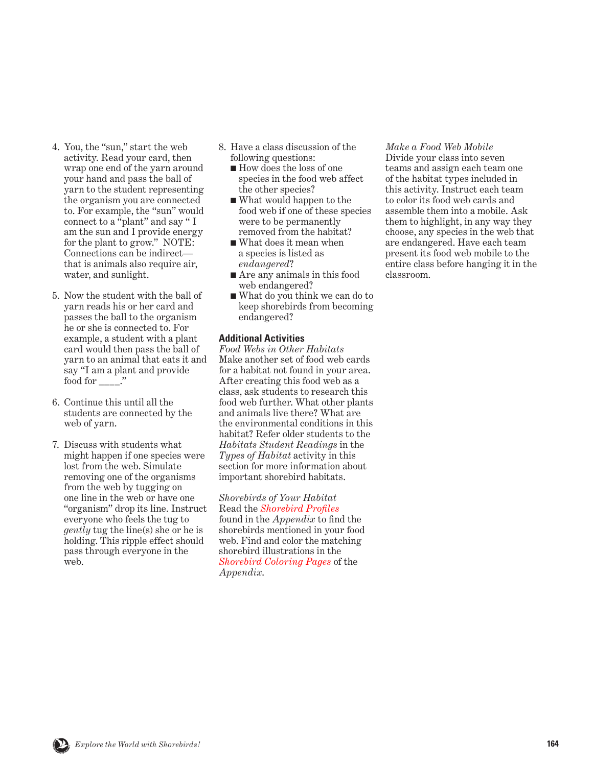- 4. You, the "sun," start the web activity. Read your card, then wrap one end of the yarn around your hand and pass the ball of yarn to the student representing the organism you are connected to. For example, the "sun" would connect to a "plant" and say " I am the sun and I provide energy for the plant to grow." NOTE: Connections can be indirect that is animals also require air, water, and sunlight.
- 5. Now the student with the ball of yarn reads his or her card and passes the ball to the organism he or she is connected to. For example, a student with a plant card would then pass the ball of yarn to an animal that eats it and say "I am a plant and provide food for  $\frac{1}{1}$ .
- 6. Continue this until all the students are connected by the web of yarn.
- 7. Discuss with students what might happen if one species were lost from the web. Simulate removing one of the organisms from the web by tugging on one line in the web or have one "organism" drop its line. Instruct everyone who feels the tug to *gently* tug the line(s) she or he is holding. This ripple effect should pass through everyone in the web.
- 8. Have a class discussion of the following questions:
	- How does the loss of one species in the food web affect the other species?
	- What would happen to the food web if one of these species were to be permanently removed from the habitat?
	- What does it mean when a species is listed as *endangered*?
	- Are any animals in this food web endangered?
	- What do you think we can do to keep shorebirds from becoming endangered?

#### **Additional Activities**

*Food Webs in Other Habitats* Make another set of food web cards for a habitat not found in your area. After creating this food web as a class, ask students to research this food web further. What other plants and animals live there? What are the environmental conditions in this habitat? Refer older students to the *Habitats Student Readings* in the *Types of Habitat* activity in this section for more information about important shorebird habitats.

*Shorebirds of Your Habitat* Read the *[Shorebird Profiles](#page-0-0)* found in the *Appendix* to find the shorebirds mentioned in your food web. Find and color the matching shorebird illustrations in the *[Shorebird Coloring Pages](#page-0-0)* of the *Appendix*.

*Make a Food Web Mobile*

Divide your class into seven teams and assign each team one of the habitat types included in this activity. Instruct each team to color its food web cards and assemble them into a mobile. Ask them to highlight, in any way they choose, any species in the web that are endangered. Have each team present its food web mobile to the entire class before hanging it in the classroom.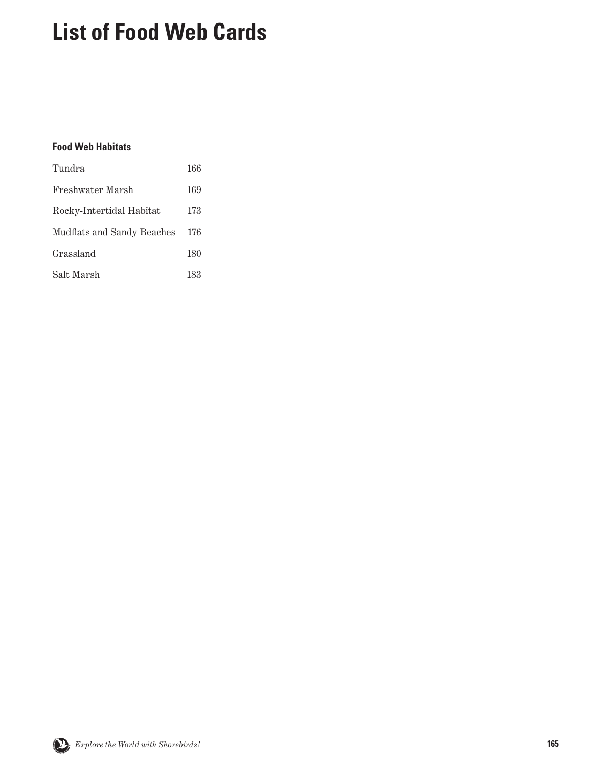### **List of Food Web Cards**

#### **Food Web Habitats**

| Tundra                     | 166 |
|----------------------------|-----|
| Freshwater Marsh           | 169 |
| Rocky-Intertidal Habitat   | 173 |
| Mudflats and Sandy Beaches | 176 |
| Grassland                  | 180 |
| Salt Marsh                 | 183 |

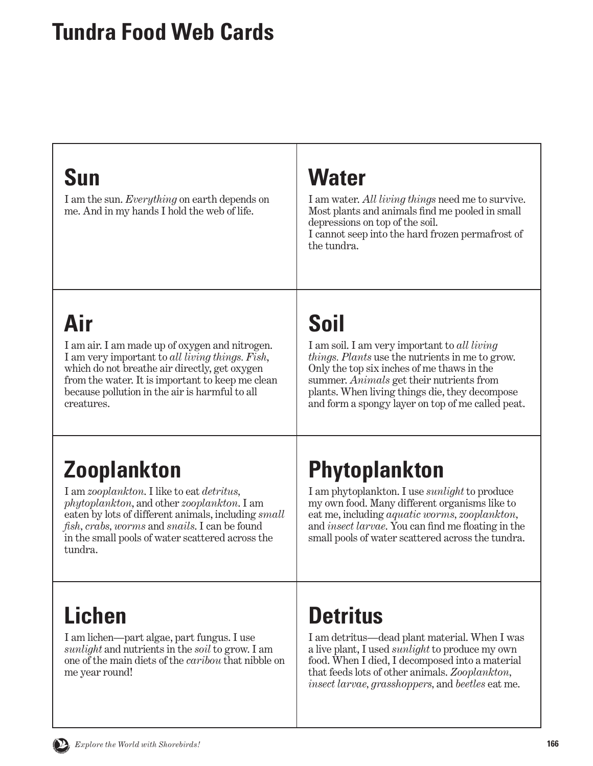#### <span id="page-3-0"></span>**Tundra Food Web Cards**

#### **Sun**

I am the sun. *Everything* on earth depends on me. And in my hands I hold the web of life.

#### **Water**

I am water. *All living things* need me to survive. Most plants and animals find me pooled in small depressions on top of the soil. I cannot seep into the hard frozen permafrost of the tundra.

# **Air**

I am air. I am made up of oxygen and nitrogen. I am very important to *all living things. Fish*, which do not breathe air directly, get oxygen from the water. It is important to keep me clean because pollution in the air is harmful to all creatures.

# **Soil**

I am soil. I am very important to *all living things. Plants* use the nutrients in me to grow. Only the top six inches of me thaws in the summer. *Animals* get their nutrients from plants. When living things die, they decompose and form a spongy layer on top of me called peat.

# **Zooplankton**

I am *zooplankton*. I like to eat *detritus, phytoplankton*, and other *zooplankton*. I am eaten by lots of different animals, including *small fish, crabs, worms* and *snails*. I can be found in the small pools of water scattered across the tundra.

# **Phytoplankton**

I am phytoplankton. I use *sunlight* to produce my own food. Many different organisms like to eat me, including *aquatic worms, zooplankton,* and *insect larvae*. You can find me floating in the small pools of water scattered across the tundra.

### **Lichen**

I am lichen—part algae, part fungus. I use *sunlight* and nutrients in the *soil* to grow. I am one of the main diets of the *caribou* that nibble on me year round!

# **Detritus**

I am detritus—dead plant material. When I was a live plant, I used *sunlight* to produce my own food. When I died, I decomposed into a material that feeds lots of other animals. *Zooplankton, insect larvae, grasshoppers,* and *beetles* eat me.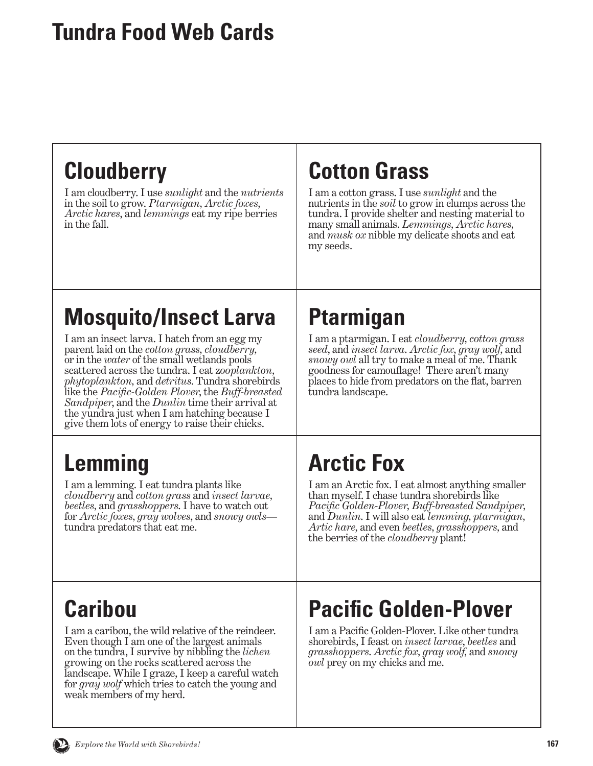#### **Tundra Food Web Cards**

## **Cloudberry**

I am cloudberry. I use *sunlight* and the *nutrients* in the soil to grow. *Ptarmigan, Arctic foxes, Arctic hares*, and *lemmings* eat my ripe berries in the fall.

## **Cotton Grass**

I am a cotton grass. I use *sunlight* and the nutrients in the *soil* to grow in clumps across the tundra. I provide shelter and nesting material to many small animals. *Lemmings, Arctic hares,*  and *musk ox* nibble my delicate shoots and eat my seeds.

# **Mosquito/Insect Larva**

I am an insect larva. I hatch from an egg my parent laid on the *cotton grass, cloudberry,*  or in the *water* of the small wetlands pools scattered across the tundra. I eat z*ooplankton, phytoplankton,* and *detritus*. Tundra shorebirds like the *Pacific-Golden Plover*, the *Buff-breasted Sandpiper*, and the *Dunlin* time their arrival at the yundra just when I am hatching because I give them lots of energy to raise their chicks.

# **Lemming**

I am a lemming. I eat tundra plants like *cloudberry* and *cotton grass* and *insect larvae, beetles,* and *grasshoppers*. I have to watch out for *Arctic foxes, gray wolves*, and *snowy owls* tundra predators that eat me.

### **Ptarmigan**

I am a ptarmigan. I eat *cloudberry, cotton grass seed*, and *insect larva*. *Arctic fox, gray wolf,* and *snowy owl* all try to make a meal of me. Thank goodness for camouflage! There aren't many places to hide from predators on the flat, barren tundra landscape.

# **Arctic Fox**

I am an Arctic fox. I eat almost anything smaller than myself. I chase tundra shorebirds like *Pacific Golden-Plover, Buff-breasted Sandpiper,*  and *Dunlin*. I will also eat *lemming, ptarmigan, Artic hare,* and even *beetles, grasshoppers,* and the berries of the *cloudberry* plant!

# **Caribou**

I am a caribou, the wild relative of the reindeer. Even though I am one of the largest animals on the tundra, I survive by nibbling the *lichen*  growing on the rocks scattered across the landscape. While I graze, I keep a careful watch for *gray wolf* which tries to catch the young and weak members of my herd.

# **Pacific Golden-Plover**

I am a Pacific Golden-Plover. Like other tundra shorebirds, I feast on *insect larvae*, *beetles* and *grasshoppers*. *Arctic fox, gray wolf,* and *snowy owl* prey on my chicks and me.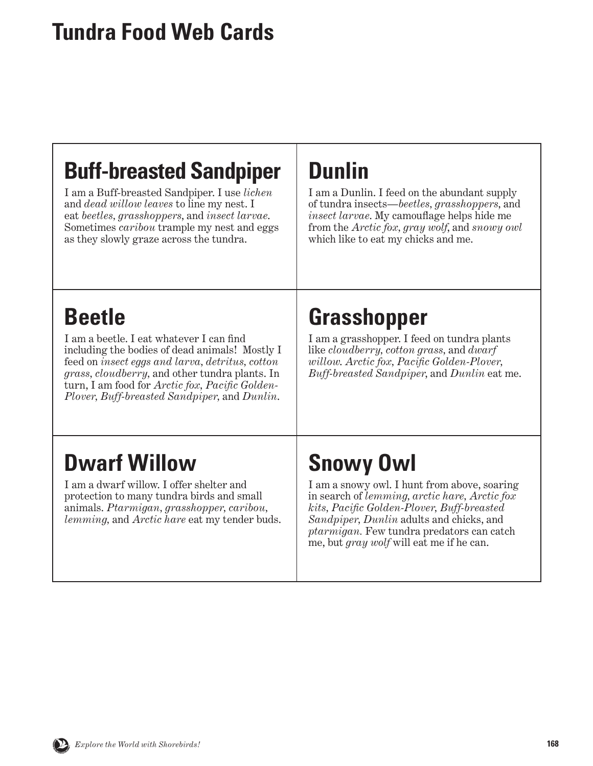#### **Tundra Food Web Cards**

#### **Buff-breasted Sandpiper**

I am a Buff-breasted Sandpiper. I use *lichen* and *dead willow leaves* to line my nest. I eat *beetles, grasshoppers*, and *insect larvae*. Sometimes *caribou* trample my nest and eggs as they slowly graze across the tundra.

#### **Dunlin**

I am a Dunlin. I feed on the abundant supply of tundra insects—*beetles, grasshoppers*, and *insect larvae*. My camouflage helps hide me from the *Arctic fox, gray wolf*, and *snowy owl* which like to eat my chicks and me.

### **Beetle**

I am a beetle. I eat whatever I can find including the bodies of dead animals! Mostly I feed on *insect eggs and larva, detritus, cotton grass, cloudberry,* and other tundra plants. In turn, I am food for *Arctic fox, Pacific Golden-Plover, Buff-breasted Sandpiper,* and *Dunlin*.

### **Grasshopper**

I am a grasshopper. I feed on tundra plants like *cloudberry, cotton grass,* and *dwarf willow*. *Arctic fox, Pacific Golden-Plover, Buff-breasted Sandpiper*, and *Dunlin* eat me.

### **Dwarf Willow**

I am a dwarf willow. I offer shelter and protection to many tundra birds and small animals. *Ptarmigan, grasshopper, caribou, lemming,* and *Arctic hare* eat my tender buds.

## **Snowy Owl**

I am a snowy owl. I hunt from above, soaring in search of *lemming, arctic hare, Arctic fox kits, Pacific Golden-Plover, Buff-breasted Sandpiper, Dunlin* adults and chicks, and *ptarmigan.* Few tundra predators can catch me, but *gray wolf* will eat me if he can.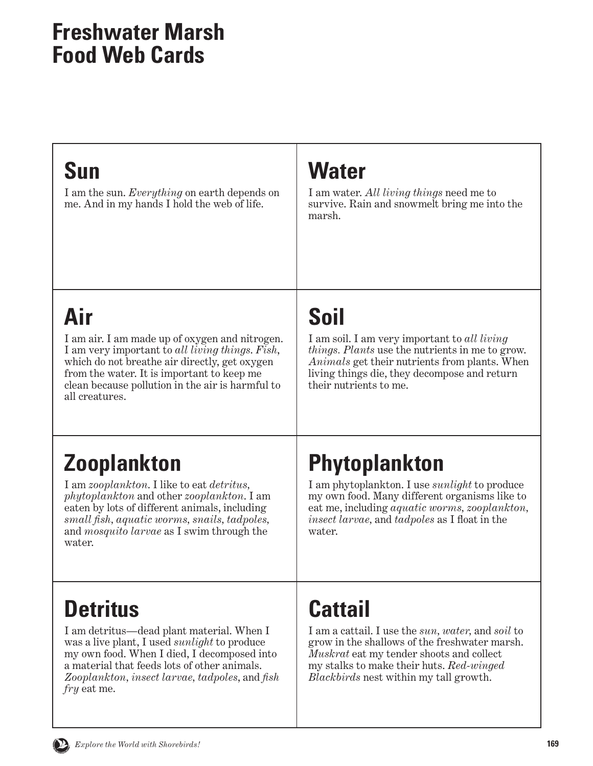#### <span id="page-6-0"></span>**Sun**

I am the sun. *Everything* on earth depends on me. And in my hands I hold the web of life.

### **Water**

I am water. *All living things* need me to survive. Rain and snowmelt bring me into the marsh.

# **Air**

I am air. I am made up of oxygen and nitrogen. I am very important to *all living things*. *Fish*, which do not breathe air directly, get oxygen from the water. It is important to keep me clean because pollution in the air is harmful to all creatures.

# **Soil**

I am soil. I am very important to *all living things. Plants* use the nutrients in me to grow. *Animals* get their nutrients from plants. When living things die, they decompose and return their nutrients to me.

# **Zooplankton**

I am *zooplankton*. I like to eat *detritus, phytoplankton* and other *zooplankton*. I am eaten by lots of different animals, including *small fish, aquatic worms, snails, tadpoles,* and *mosquito larvae* as I swim through the water.

# **Phytoplankton**

I am phytoplankton. I use *sunlight* to produce my own food. Many different organisms like to eat me, including *aquatic worms, zooplankton, insect larvae,* and *tadpoles* as I float in the water.

## **Detritus**

I am detritus—dead plant material. When I was a live plant, I used *sunlight* to produce my own food. When I died, I decomposed into a material that feeds lots of other animals. *Zooplankton, insect larvae, tadpoles*, and *fish fry* eat me.

# **Cattail**

I am a cattail. I use the *sun, water,* and *soil* to grow in the shallows of the freshwater marsh. *Muskrat* eat my tender shoots and collect my stalks to make their huts. *Red-winged Blackbirds* nest within my tall growth.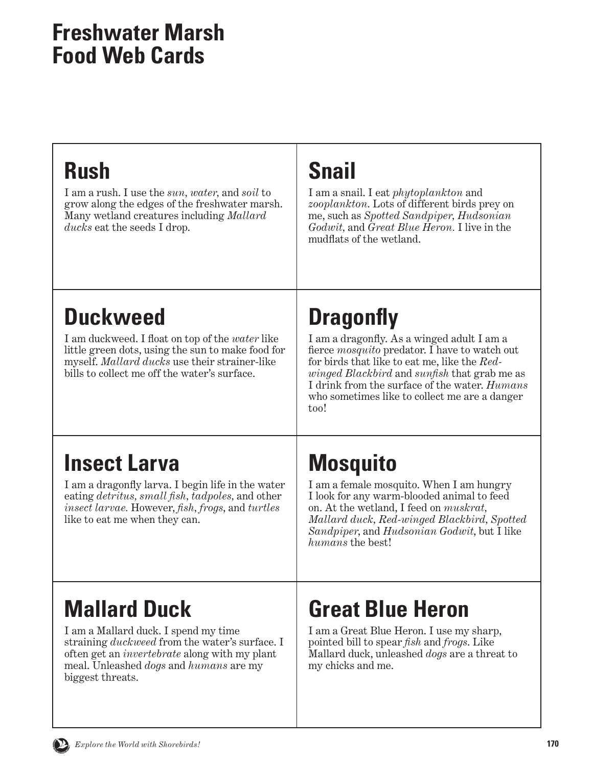## **Rush**

I am a rush. I use the *sun, water,* and *soil* to grow along the edges of the freshwater marsh. Many wetland creatures including *Mallard ducks* eat the seeds I drop.

### **Snail**

I am a snail. I eat *phytoplankton* and *zooplankton*. Lots of different birds prey on me, such as *Spotted Sandpiper, Hudsonian Godwit,* and *Great Blue Heron.* I live in the mudflats of the wetland.

# **Duckweed**

I am duckweed. I float on top of the *water* like little green dots, using the sun to make food for myself. *Mallard ducks* use their strainer-like bills to collect me off the water's surface.

# **Dragonfly**

I am a dragonfly. As a winged adult I am a fierce *mosquito* predator. I have to watch out for birds that like to eat me, like the *Redwinged Blackbird* and *sunfish* that grab me as I drink from the surface of the water. *Humans* who sometimes like to collect me are a danger too!

### **Insect Larva**

I am a dragonfly larva. I begin life in the water eating *detritus, small fish, tadpoles,* and other *insect larvae.* However, *fish, frogs*, and *turtles*  like to eat me when they can.

# **Mosquito**

I am a female mosquito. When I am hungry I look for any warm-blooded animal to feed on. At the wetland, I feed on *muskrat, Mallard duck, Red-winged Blackbird, Spotted Sandpiper*, and *Hudsonian Godwit*, but I like *humans* the best!

# **Mallard Duck**

I am a Mallard duck. I spend my time straining *duckweed* from the water's surface. I often get an *invertebrate* along with my plant meal. Unleashed *dogs* and *humans* are my biggest threats.

## **Great Blue Heron**

I am a Great Blue Heron. I use my sharp, pointed bill to spear *fish* and *frogs*. Like Mallard duck, unleashed *dogs* are a threat to my chicks and me.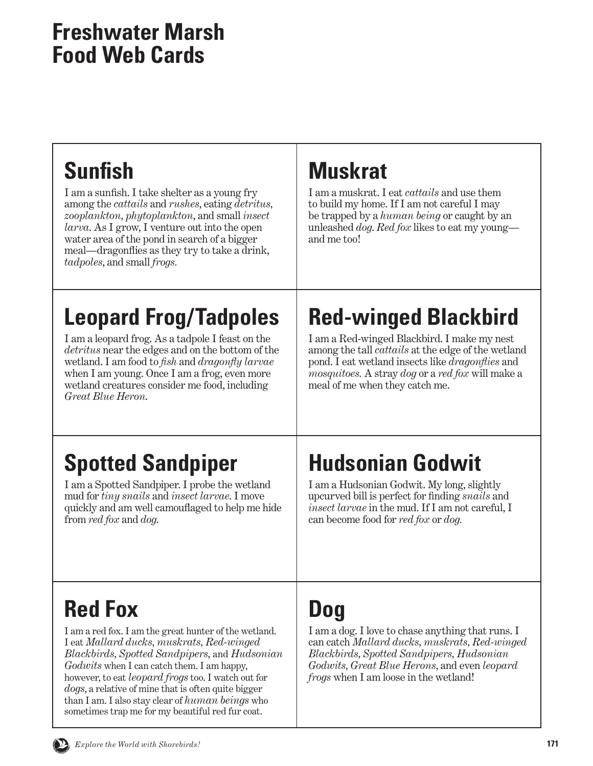| <b>Sunfish</b><br>I am a sunfish. I take shelter as a young fry<br>among the <i>cattails</i> and <i>rushes</i> , eating <i>detritus</i> ,<br>zooplankton, phytoplankton, and small insect<br><i>larva</i> . As I grow, I venture out into the open<br>water area of the pond in search of a bigger<br>meal—dragonifies as they try to take a drink,<br>tadpoles, and small frogs. | <b>Muskrat</b><br>I am a muskrat. I eat <i>cattails</i> and use them<br>to build my home. If I am not careful I may<br>be trapped by a <i>human being</i> or caught by an<br>unleashed <i>dog. Red fox</i> likes to eat my young—<br>and me too!                                                              |
|-----------------------------------------------------------------------------------------------------------------------------------------------------------------------------------------------------------------------------------------------------------------------------------------------------------------------------------------------------------------------------------|---------------------------------------------------------------------------------------------------------------------------------------------------------------------------------------------------------------------------------------------------------------------------------------------------------------|
| <b>Leopard Frog/Tadpoles</b><br>I am a leopard frog. As a tadpole I feast on the<br><i>detritus</i> near the edges and on the bottom of the<br>wetland. I am food to fish and <i>dragonfly larvae</i><br>when I am young. Once I am a frog, even more<br>wetland creatures consider me food, including<br>Great Blue Heron.                                                       | <b>Red-winged Blackbird</b><br>I am a Red-winged Blackbird. I make my nest<br>among the tall <i>cattails</i> at the edge of the wetland<br>pond. I eat wetland insects like <i>dragonflies</i> and<br><i>mosquitoes.</i> A stray <i>dog</i> or a <i>red fox</i> will make a<br>meal of me when they catch me. |
| <b>Spotted Sandpiper</b><br>I am a Spotted Sandpiper. I probe the wetland<br>mud for <i>tiny</i> snails and <i>insect larvae</i> . I move<br>quickly and am well camouflaged to help me hide<br>from red fox and dog.                                                                                                                                                             | <b>Hudsonian Godwit</b><br>I am a Hudsonian Godwit. My long, slightly<br>upcurved bill is perfect for finding snails and<br>insect larvae in the mud. If I am not careful, I<br>can become food for red fox or dog.                                                                                           |

# **Red Fox**

I am a red fox. I am the great hunter of the wetland. I eat *Mallard ducks, muskrats, Red-winged Blackbirds, Spotted Sandpipers,* and *Hudsonian Godwits* when I can catch them. I am happy, however, to eat *leopard frogs* too. I watch out for *dogs*, a relative of mine that is often quite bigger than I am. I also stay clear of *human beings* who sometimes trap me for my beautiful red fur coat.

# **Dog**

I am a dog. I love to chase anything that runs. I can catch *Mallard ducks, muskrats, Red-winged Blackbirds, Spotted Sandpipers, Hudsonian Godwits, Great Blue Herons*, and even *leopard frogs* when I am loose in the wetland!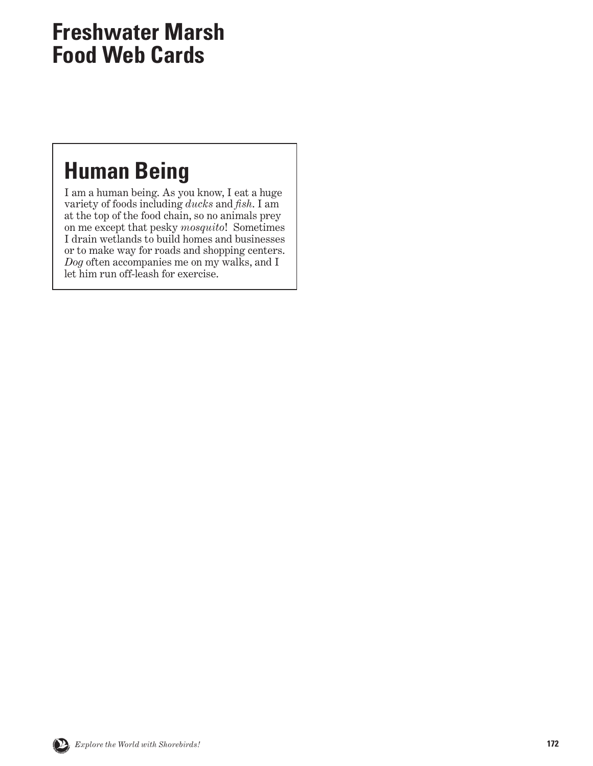#### <span id="page-9-0"></span>**Human Being**

I am a human being. As you know, I eat a huge variety of foods including *ducks* and *fish*. I am at the top of the food chain, so no animals prey on me except that pesky *mosquito*! Sometimes I drain wetlands to build homes and businesses or to make way for roads and shopping centers. *Dog* often accompanies me on my walks, and I let him run off-leash for exercise.

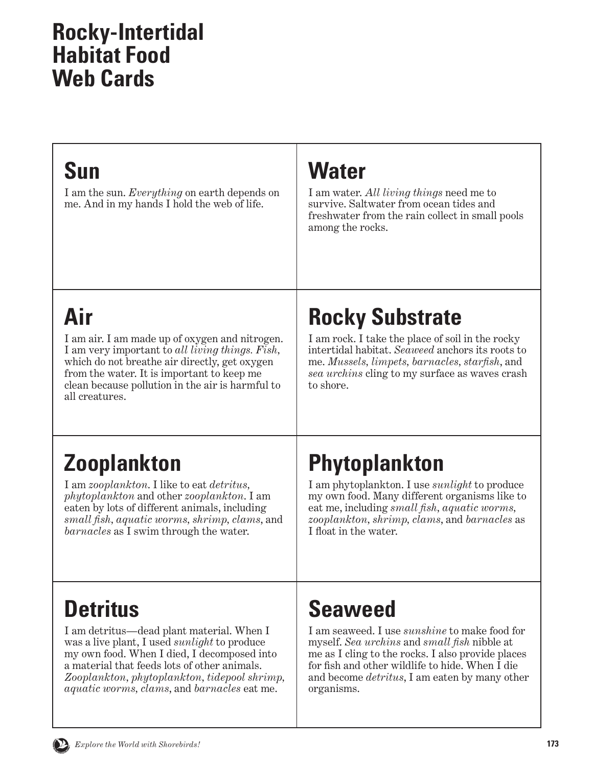#### <span id="page-10-0"></span>**Rocky-Intertidal Habitat Food Web Cards**

#### **Sun**

I am the sun. *Everything* on earth depends on me. And in my hands I hold the web of life.

### **Water**

I am water. *All living things* need me to survive. Saltwater from ocean tides and freshwater from the rain collect in small pools among the rocks.

# **Air**

I am air. I am made up of oxygen and nitrogen. I am very important to *all living things. Fish,* which do not breathe air directly, get oxygen from the water. It is important to keep me clean because pollution in the air is harmful to all creatures.

# **Rocky Substrate**

I am rock. I take the place of soil in the rocky intertidal habitat. *Seaweed* anchors its roots to me. *Mussels, limpets, barnacles, starfish*, and *sea urchins* cling to my surface as waves crash to shore.

# **Zooplankton**

I am *zooplankton*. I like to eat *detritus, phytoplankton* and other *zooplankton*. I am eaten by lots of different animals, including *small fish, aquatic worms, shrimp, clams*, and *barnacles* as I swim through the water.

# **Phytoplankton**

I am phytoplankton. I use *sunlight* to produce my own food. Many different organisms like to eat me, including *small fish, aquatic worms, zooplankton, shrimp, clams*, and *barnacles* as I float in the water.

## **Detritus**

I am detritus—dead plant material. When I was a live plant, I used *sunlight* to produce my own food. When I died, I decomposed into a material that feeds lots of other animals. *Zooplankton, phytoplankton, tidepool shrimp, aquatic worms, clams*, and *barnacles* eat me.

## **Seaweed**

I am seaweed. I use *sunshine* to make food for myself. *Sea urchins* and *small fish* nibble at me as I cling to the rocks. I also provide places for fish and other wildlife to hide. When I die and become *detritus*, I am eaten by many other organisms.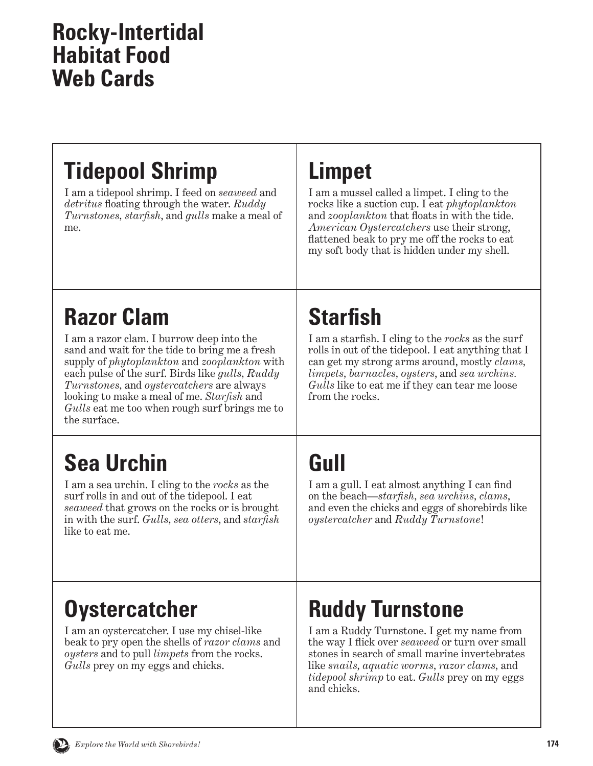#### **Rocky-Intertidal Habitat Food Web Cards**

# **Tidepool Shrimp**

I am a tidepool shrimp. I feed on *seaweed* and *detritus* floating through the water. *Ruddy Turnstones, starfish*, and *gulls* make a meal of me.

### **Limpet**

I am a mussel called a limpet. I cling to the rocks like a suction cup. I eat *phytoplankton* and *zooplankton* that floats in with the tide. *American Oystercatchers* use their strong, flattened beak to pry me off the rocks to eat my soft body that is hidden under my shell.

# **Razor Clam**

I am a razor clam. I burrow deep into the sand and wait for the tide to bring me a fresh supply of *phytoplankton* and *zooplankton* with each pulse of the surf. Birds like *gulls, Ruddy Turnstones,* and *oystercatchers* are always looking to make a meal of me. *Starfish* and *Gulls* eat me too when rough surf brings me to the surface.

# **Sea Urchin**

I am a sea urchin. I cling to the *rocks* as the surf rolls in and out of the tidepool. I eat *seaweed* that grows on the rocks or is brought in with the surf. *Gulls, sea otters*, and *starfish* like to eat me.

# **Starfish**

I am a starfish. I cling to the *rocks* as the surf rolls in out of the tidepool. I eat anything that I can get my strong arms around, mostly *clams, limpets, barnacles, oysters*, and *sea urchins. Gulls* like to eat me if they can tear me loose from the rocks.

# **Gull**

I am a gull. I eat almost anything I can find on the beach—*starfish, sea urchins, clams*, and even the chicks and eggs of shorebirds like *oystercatcher* and *Ruddy Turnstone*!

### **Oystercatcher**

I am an oystercatcher. I use my chisel-like beak to pry open the shells of *razor clams* and *oysters* and to pull *limpets* from the rocks. *Gulls* prey on my eggs and chicks.

# **Ruddy Turnstone**

I am a Ruddy Turnstone. I get my name from the way I flick over *seaweed* or turn over small stones in search of small marine invertebrates like *snails, aquatic worms, razor clams,* and *tidepool shrimp* to eat. *Gulls* prey on my eggs and chicks.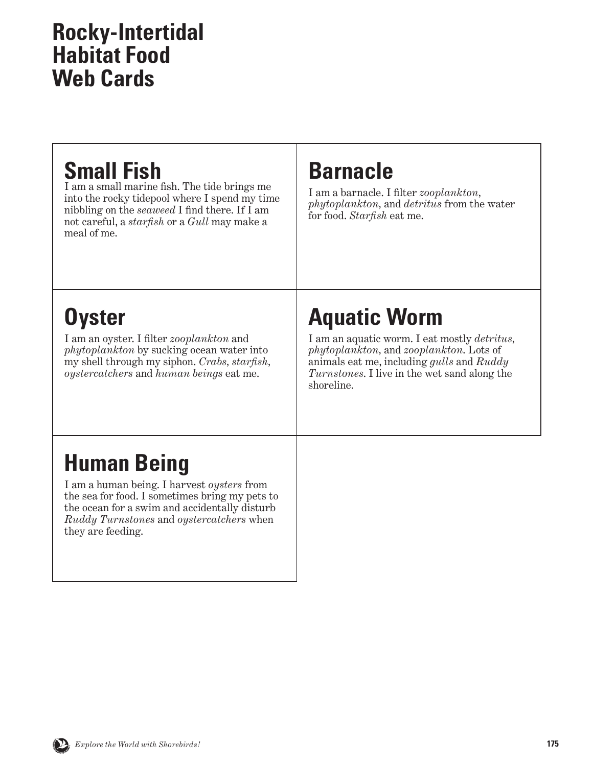#### **Rocky-Intertidal Habitat Food Web Cards**

#### **Small Fish**

I am a small marine fish. The tide brings me into the rocky tidepool where I spend my time nibbling on the *seaweed* I find there. If I am not careful, a *starfish* or a *Gull* may make a meal of me.

#### **Barnacle**

I am a barnacle. I filter *zooplankton, phytoplankton,* and *detritus* from the water for food. *Starfish* eat me.

# **Oyster**

I am an oyster. I filter *zooplankton* and *phytoplankton* by sucking ocean water into my shell through my siphon. *Crabs, starfish, oystercatchers* and *human beings* eat me.

# **Aquatic Worm**

I am an aquatic worm. I eat mostly *detritus, phytoplankton,* and *zooplankton*. Lots of animals eat me, including *gulls* and *Ruddy Turnstones*. I live in the wet sand along the shoreline.

# **Human Being**

I am a human being. I harvest *oysters* from the sea for food. I sometimes bring my pets to the ocean for a swim and accidentally disturb *Ruddy Turnstones* and *oystercatchers* when they are feeding.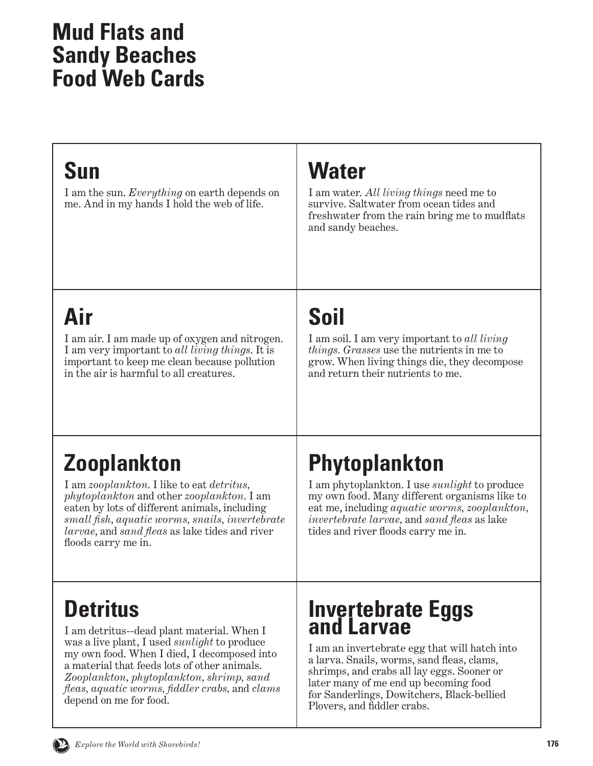#### <span id="page-13-0"></span>**Sun**

I am the sun. *Everything* on earth depends on me. And in my hands I hold the web of life.

### **Water**

I am water. *All living things* need me to survive. Saltwater from ocean tides and freshwater from the rain bring me to mudflats and sandy beaches.

# **Air**

I am air. I am made up of oxygen and nitrogen. I am very important to *all living things*. It is important to keep me clean because pollution in the air is harmful to all creatures.

# **Soil**

I am soil. I am very important to *all living things. Grasses* use the nutrients in me to grow. When living things die, they decompose and return their nutrients to me.

# **Zooplankton**

I am *zooplankton*. I like to eat *detritus, phytoplankton* and other *zooplankton*. I am eaten by lots of different animals, including *small fish, aquatic worms, snails, invertebrate larvae*, and *sand fleas* as lake tides and river floods carry me in.

# **Phytoplankton**

I am phytoplankton. I use *sunlight* to produce my own food. Many different organisms like to eat me, including *aquatic worms, zooplankton, invertebrate larvae,* and *sand fleas* as lake tides and river floods carry me in.

## **Detritus**

I am detritus--dead plant material. When I was a live plant, I used *sunlight* to produce my own food. When I died, I decomposed into a material that feeds lots of other animals. *Zooplankton, phytoplankton, shrimp, sand fleas, aquatic worms, fiddler crabs,* and *clams* depend on me for food.

#### **Invertebrate Eggs and Larvae**

I am an invertebrate egg that will hatch into a larva. Snails, worms, sand fleas, clams, shrimps, and crabs all lay eggs. Sooner or later many of me end up becoming food for Sanderlings, Dowitchers, Black-bellied Plovers, and fiddler crabs.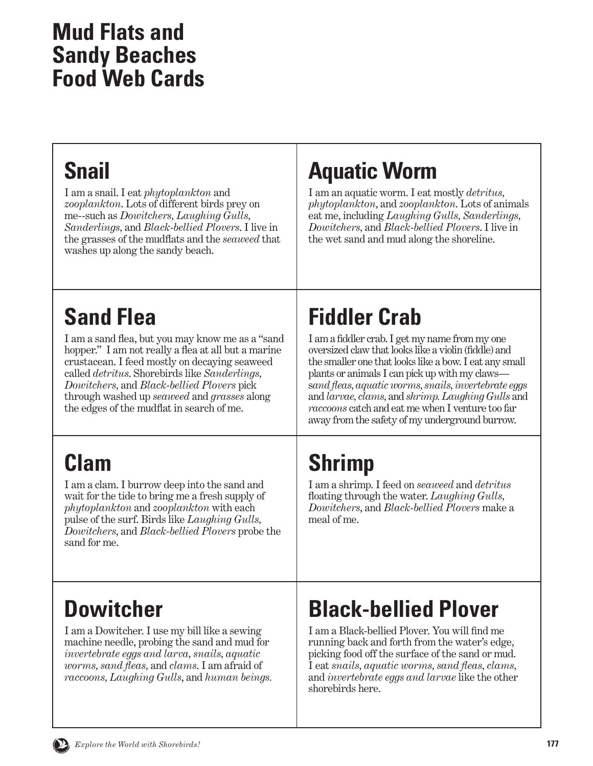### **Snail**

I am a snail. I eat *phytoplankton* and *zooplankton*. Lots of different birds prey on me--such as *Dowitchers, Laughing Gulls, Sanderlings,* and *Black-bellied Plovers*. I live in the grasses of the mudflats and the *seaweed* that washes up along the sandy beach.

## **Aquatic Worm**

I am an aquatic worm. I eat mostly *detritus, phytoplankton*, and *zooplankton*. Lots of animals eat me, including *Laughing Gulls, Sanderlings, Dowitchers,* and *Black-bellied Plovers*. I live in the wet sand and mud along the shoreline.

# **Sand Flea**

I am a sand flea, but you may know me as a "sand hopper." I am not really a flea at all but a marine crustacean. I feed mostly on decaying seaweed called *detritus*. Shorebirds like *Sanderlings, Dowitchers,* and *Black-bellied Plovers* pick through washed up *seaweed* and *grasses* along the edges of the mudflat in search of me.

# **Clam**

I am a clam. I burrow deep into the sand and wait for the tide to bring me a fresh supply of *phytoplankton* and *zooplankton* with each pulse of the surf. Birds like *Laughing Gulls, Dowitchers*, and *Black-bellied Plovers* probe the sand for me.

# **Fiddler Crab**

I am a fiddler crab. I get my name from my one oversized claw that looks like a violin (fiddle) and the smaller one that looks like a bow. I eat any small plants or animals I can pick up with my claws s*and fleas, aquatic worms, snails, invertebrate eggs* and *larvae, clams,* and *shrimp.Laughing Gulls* and *raccoons* catch and eat me when I venture too far away from the safety of my underground burrow.

# **Shrimp**

I am a shrimp. I feed on *seaweed* and *detritus*  floating through the water. *Laughing Gulls, Dowitchers*, and *Black-bellied Plovers* make a meal of me.

## **Dowitcher**

I am a Dowitcher. I use my bill like a sewing machine needle, probing the sand and mud for *invertebrate eggs and larva, snails, aquatic worms, sand fleas,* and *clams*. I am afraid of *raccoons, Laughing Gulls*, and *human beings.*

# **Black-bellied Plover**

I am a Black-bellied Plover. You will find me running back and forth from the water's edge, picking food off the surface of the sand or mud. I eat *snails, aquatic worms, sand fleas, clams,*  and *invertebrate eggs and larvae* like the other shorebirds here.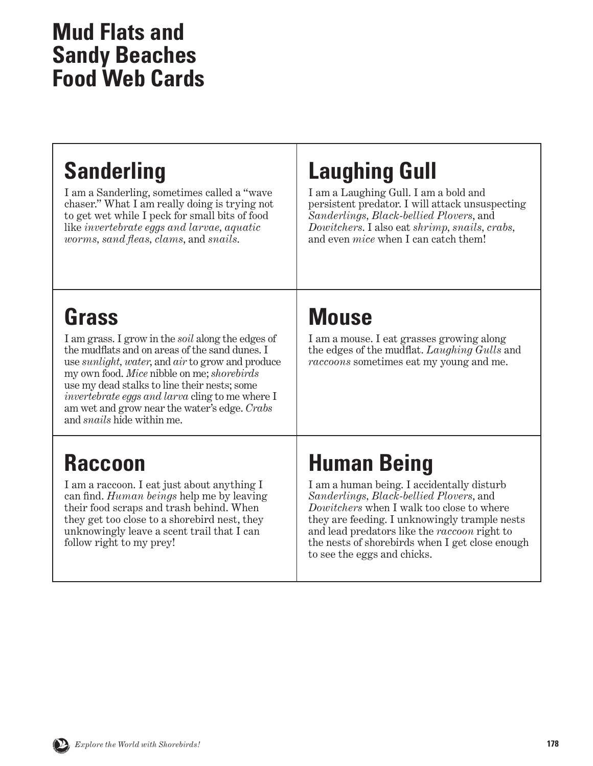## **Sanderling**

I am a Sanderling, sometimes called a "wave chaser." What I am really doing is trying not to get wet while I peck for small bits of food like *invertebrate eggs and larvae, aquatic worms, sand fleas, clams*, and *snails*.

## **Laughing Gull**

I am a Laughing Gull. I am a bold and persistent predator. I will attack unsuspecting *Sanderlings, Black-bellied Plovers*, and *Dowitchers*. I also eat *shrimp, snails, crabs,*  and even *mice* when I can catch them!

### **Grass**

I am grass. I grow in the *soil* along the edges of the mudflats and on areas of the sand dunes. I use *sunlight, water*, and *air* to grow and produce my own food. *Mice* nibble on me; *shorebirds*  use my dead stalks to line their nests; some *invertebrate eggs and larva* cling to me where I am wet and grow near the water's edge. *Crabs*  and *snails* hide within me.

#### **Raccoon**

I am a raccoon. I eat just about anything I can find. *Human beings* help me by leaving their food scraps and trash behind. When they get too close to a shorebird nest, they unknowingly leave a scent trail that I can follow right to my prey!

## **Mouse**

I am a mouse. I eat grasses growing along the edges of the mudflat. *Laughing Gulls* and *raccoons* sometimes eat my young and me.

## **Human Being**

I am a human being. I accidentally disturb *Sanderlings, Black-bellied Plovers*, and *Dowitchers* when I walk too close to where they are feeding. I unknowingly trample nests and lead predators like the *raccoon* right to the nests of shorebirds when I get close enough to see the eggs and chicks.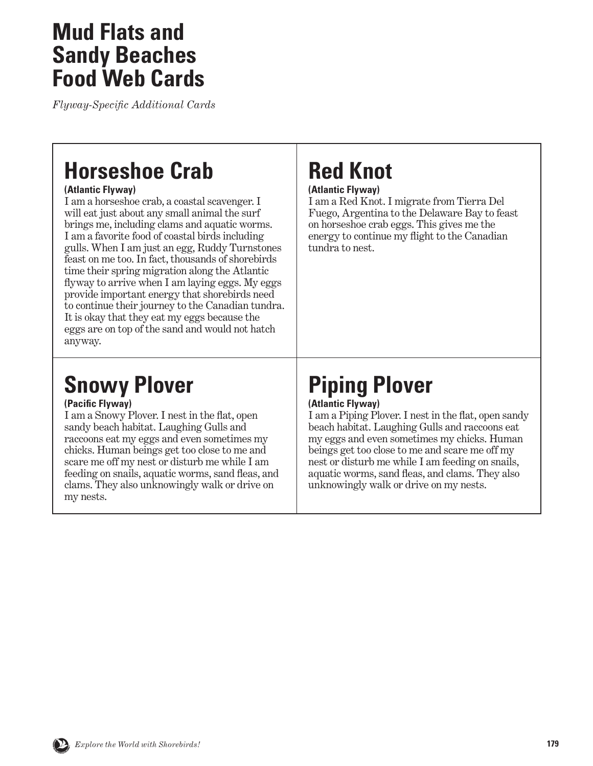*Flyway-Specific Additional Cards*

#### **Horseshoe Crab**

#### **(Atlantic Flyway)**

I am a horseshoe crab, a coastal scavenger. I will eat just about any small animal the surf brings me, including clams and aquatic worms. I am a favorite food of coastal birds including gulls. When I am just an egg, Ruddy Turnstones feast on me too. In fact, thousands of shorebirds time their spring migration along the Atlantic flyway to arrive when I am laying eggs. My eggs provide important energy that shorebirds need to continue their journey to the Canadian tundra. It is okay that they eat my eggs because the eggs are on top of the sand and would not hatch anyway.

### **Snowy Plover**

#### **(Pacific Flyway)**

I am a Snowy Plover. I nest in the flat, open sandy beach habitat. Laughing Gulls and raccoons eat my eggs and even sometimes my chicks. Human beings get too close to me and scare me off my nest or disturb me while I am feeding on snails, aquatic worms, sand fleas, and clams. They also unknowingly walk or drive on my nests.

# **Red Knot**

#### **(Atlantic Flyway)**

I am a Red Knot. I migrate from Tierra Del Fuego, Argentina to the Delaware Bay to feast on horseshoe crab eggs. This gives me the energy to continue my flight to the Canadian tundra to nest.

# **Piping Plover**

#### **(Atlantic Flyway)**

I am a Piping Plover. I nest in the flat, open sandy beach habitat. Laughing Gulls and raccoons eat my eggs and even sometimes my chicks. Human beings get too close to me and scare me off my nest or disturb me while I am feeding on snails, aquatic worms, sand fleas, and clams. They also unknowingly walk or drive on my nests.

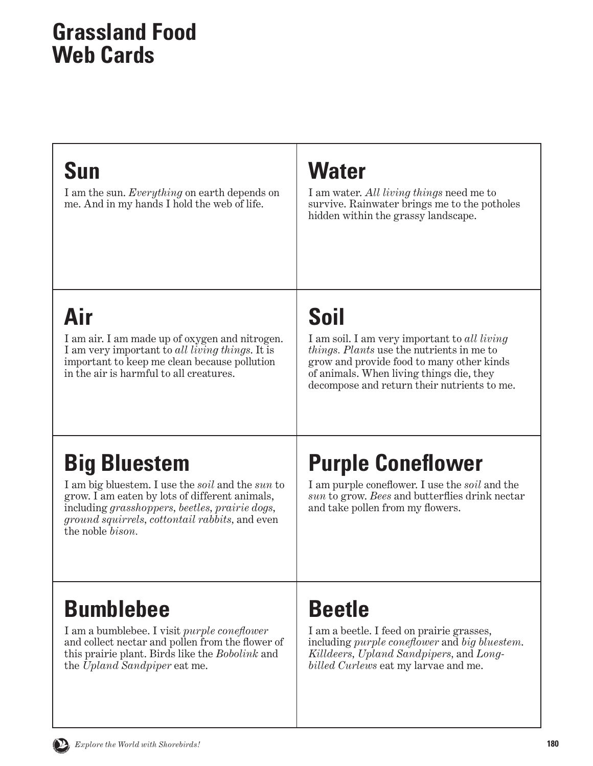#### <span id="page-17-0"></span>**Grassland Food Web Cards**

#### **Sun**

I am the sun. *Everything* on earth depends on me. And in my hands I hold the web of life.

### **Water**

I am water. *All living things* need me to survive. Rainwater brings me to the potholes hidden within the grassy landscape.

# **Air**

I am air. I am made up of oxygen and nitrogen. I am very important to *all living things*. It is important to keep me clean because pollution in the air is harmful to all creatures.

# **Soil**

I am soil. I am very important to *all living things. Plants* use the nutrients in me to grow and provide food to many other kinds of animals. When living things die, they decompose and return their nutrients to me.

# **Big Bluestem**

I am big bluestem. I use the *soil* and the *sun* to grow. I am eaten by lots of different animals, including *grasshoppers, beetles, prairie dogs, ground squirrels, cottontail rabbits,* and even the noble *bison.*

# **Purple Coneflower**

I am purple coneflower. I use the *soil* and the *sun* to grow. *Bees* and butterflies drink nectar and take pollen from my flowers.

## **Bumblebee**

I am a bumblebee. I visit *purple coneflower* and collect nectar and pollen from the flower of this prairie plant. Birds like the *Bobolink* and the *Upland Sandpiper* eat me.

### **Beetle**

I am a beetle. I feed on prairie grasses, including *purple coneflower* and *big bluestem*. *Killdeers, Upland Sandpipers,* and *Longbilled Curlews* eat my larvae and me.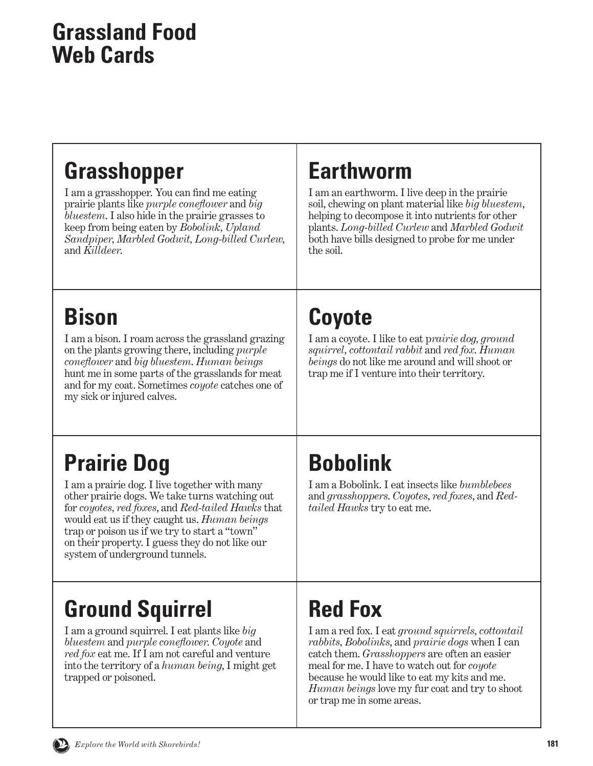#### **Grassland Food Web Cards**

### **Grasshopper**

I am a grasshopper. You can find me eating prairie plants like *purple coneflower* and *big bluestem*. I also hide in the prairie grasses to keep from being eaten by *Bobolink, Upland Sandpiper, Marbled Godwit, Long-billed Curlew,*  and *Killdeer*.

#### **Earthworm**

I am an earthworm. I live deep in the prairie soil, chewing on plant material like *big bluestem*, helping to decompose it into nutrients for other plants. *Long-billed Curlew* and *Marbled Godwit*  both have bills designed to probe for me under the soil.

# **Bison**

I am a bison. I roam across the grassland grazing on the plants growing there, including *purple coneflower* and *big bluestem*. *Human beings*  hunt me in some parts of the grasslands for meat and for my coat. Sometimes *coyote* catches one of my sick or injured calves.

# **Coyote**

I am a coyote. I like to eat p*rairie dog, ground squirrel, cottontail rabbit* and *red fox*. *Human beings* do not like me around and will shoot or trap me if I venture into their territory.

# **Prairie Dog**

I am a prairie dog. I live together with many other prairie dogs. We take turns watching out for *coyotes, red foxes*, and *Red-tailed Hawks* that would eat us if they caught us. *Human beings*  trap or poison us if we try to start a "town" on their property. I guess they do not like our system of underground tunnels.

# **Ground Squirrel**

I am a ground squirrel. I eat plants like *big bluestem* and *purple coneflower*. *Coyote* and *red fox* eat me. If I am not careful and venture into the territory of a *human being*, I might get trapped or poisoned.

# **Bobolink**

I am a Bobolink. I eat insects like *bumblebees*  and *grasshoppers*. *Coyotes, red foxes*, and *Redtailed Hawks* try to eat me.

# **Red Fox**

I am a red fox. I eat *ground squirrels, cottontail rabbits, Bobolinks*, and *prairie dogs* when I can catch them. *Grasshoppers* are often an easier meal for me. I have to watch out for *coyote*  because he would like to eat my kits and me. *Human beings* love my fur coat and try to shoot or trap me in some areas.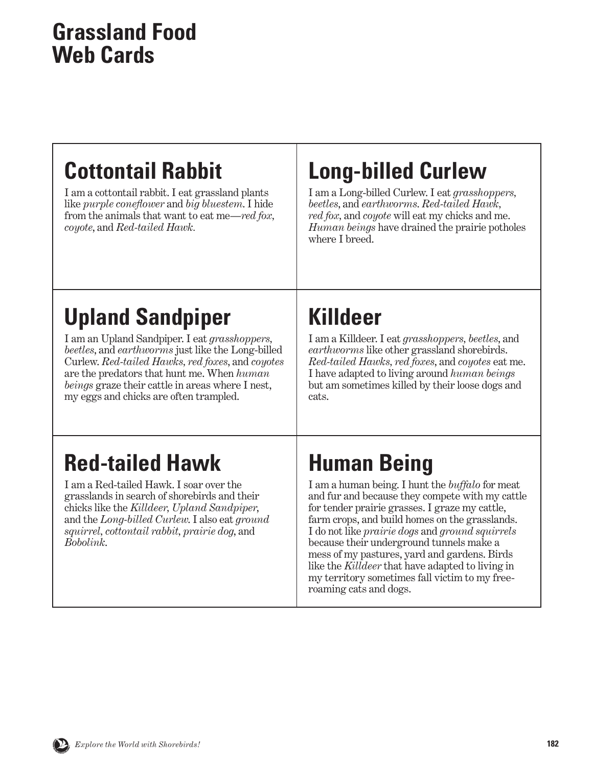#### **Grassland Food Web Cards**

## **Cottontail Rabbit**

I am a cottontail rabbit. I eat grassland plants like *purple coneflower* and *big bluestem*. I hide from the animals that want to eat me—*red fox, coyote*, and *Red-tailed Hawk.*

## **Long-billed Curlew**

I am a Long-billed Curlew. I eat *grasshoppers, beetles*, and *earthworms*. *Red-tailed Hawk, red fox,* and *coyote* will eat my chicks and me. *Human beings* have drained the prairie potholes where I breed.

# **Upland Sandpiper**

I am an Upland Sandpiper. I eat *grasshoppers, beetles*, and *earthworms* just like the Long-billed Curlew. *Red-tailed Hawks, red foxes*, and *coyotes*  are the predators that hunt me. When *human beings* graze their cattle in areas where I nest, my eggs and chicks are often trampled.

# **Killdeer**

I am a Killdeer. I eat *grasshoppers, beetles*, and *earthworms* like other grassland shorebirds. *Red-tailed Hawks, red foxes*, and *coyotes* eat me. I have adapted to living around *human beings* but am sometimes killed by their loose dogs and cats.

## **Red-tailed Hawk**

I am a Red-tailed Hawk. I soar over the grasslands in search of shorebirds and their chicks like the *Killdeer, Upland Sandpiper*, and the *Long-billed Curlew*. I also eat *ground squirrel, cottontail rabbit, prairie dog*, and *Bobolink*.

# **Human Being**

I am a human being. I hunt the *buffalo* for meat and fur and because they compete with my cattle for tender prairie grasses. I graze my cattle, farm crops, and build homes on the grasslands. I do not like *prairie dogs* and *ground squirrels* because their underground tunnels make a mess of my pastures, yard and gardens. Birds like the *Killdeer* that have adapted to living in my territory sometimes fall victim to my freeroaming cats and dogs.

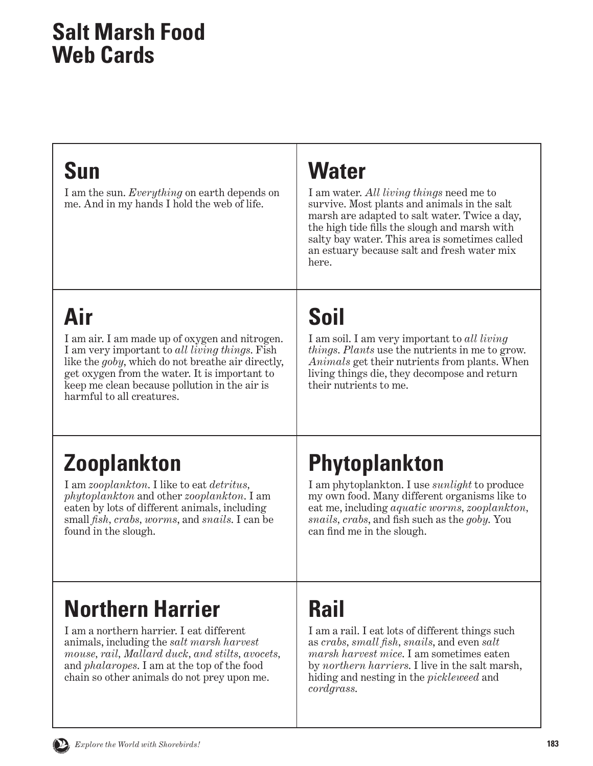#### <span id="page-20-0"></span>**Salt Marsh Food Web Cards**

| <b>Sun</b><br>I am the sun. Everything on earth depends on<br>me. And in my hands I hold the web of life.                                                                                                                                                                                           | <b>Water</b><br>I am water. All living things need me to<br>survive. Most plants and animals in the salt<br>marsh are adapted to salt water. Twice a day,<br>the high tide fills the slough and marsh with<br>salty bay water. This area is sometimes called<br>an estuary because salt and fresh water mix<br>here. |
|-----------------------------------------------------------------------------------------------------------------------------------------------------------------------------------------------------------------------------------------------------------------------------------------------------|----------------------------------------------------------------------------------------------------------------------------------------------------------------------------------------------------------------------------------------------------------------------------------------------------------------------|
| Air<br>I am air. I am made up of oxygen and nitrogen.<br>I am very important to all living things. Fish<br>like the <i>goby</i> , which do not breathe air directly,<br>get oxygen from the water. It is important to<br>keep me clean because pollution in the air is<br>harmful to all creatures. | <b>Soil</b><br>I am soil. I am very important to all living<br><i>things. Plants</i> use the nutrients in me to grow.<br><i>Animals</i> get their nutrients from plants. When<br>living things die, they decompose and return<br>their nutrients to me.                                                              |

# **Zooplankton**

I am *zooplankton*. I like to eat *detritus, phytoplankton* and other *zooplankton*. I am eaten by lots of different animals, including small *fish, crabs, worms*, and *snails*. I can be found in the slough.

# **Phytoplankton**

I am phytoplankton. I use *sunlight* to produce my own food. Many different organisms like to eat me, including *aquatic worms, zooplankton, snails, crabs*, and fish such as the *goby*. You can find me in the slough.

## **Northern Harrier**

I am a northern harrier. I eat different animals, including the *salt marsh harvest mouse, rail, Mallard duck, and stilts, avocets,*  and *phalaropes*. I am at the top of the food chain so other animals do not prey upon me.

# **Rail**

I am a rail. I eat lots of different things such as *crabs, small fish, snails*, and even *salt marsh harvest mice*. I am sometimes eaten by *northern harriers*. I live in the salt marsh, hiding and nesting in the *pickleweed* and *cordgrass*.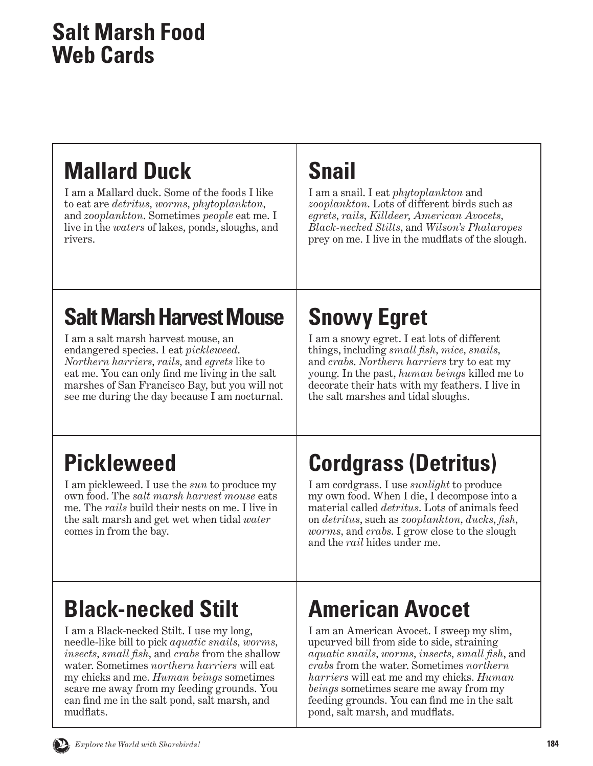#### **Salt Marsh Food Web Cards**

### **Mallard Duck**

I am a Mallard duck. Some of the foods I like to eat are *detritus, worms, phytoplankton,*  and *zooplankton*. Sometimes *people* eat me. I live in the *waters* of lakes, ponds, sloughs, and rivers.

#### **Snail**

I am a snail. I eat *phytoplankton* and *zooplankton*. Lots of different birds such as *egrets, rails, Killdeer, American Avocets, Black-necked Stilts*, and *Wilson's Phalaropes* prey on me. I live in the mudflats of the slough.

# **Salt Marsh Harvest Mouse**

I am a salt marsh harvest mouse, an endangered species. I eat *pickleweed*. *Northern harriers, rails,* and *egrets* like to eat me. You can only find me living in the salt marshes of San Francisco Bay, but you will not see me during the day because I am nocturnal.

# **Snowy Egret**

I am a snowy egret. I eat lots of different things, including *small fish, mice, snails,* and *crabs*. *Northern harriers* try to eat my young. In the past, *human beings* killed me to decorate their hats with my feathers. I live in the salt marshes and tidal sloughs.

## **Pickleweed**

I am pickleweed. I use the *sun* to produce my own food. The *salt marsh harvest mouse* eats me. The *rails* build their nests on me. I live in the salt marsh and get wet when tidal *water*  comes in from the bay.

# **Cordgrass (Detritus)**

I am cordgrass. I use *sunlight* to produce my own food. When I die, I decompose into a material called *detritus*. Lots of animals feed on *detritus*, such as *zooplankton, ducks, fish, worms,* and *crabs*. I grow close to the slough and the *rail* hides under me.

### **Black-necked Stilt**

I am a Black-necked Stilt. I use my long, needle-like bill to pick *aquatic snails, worms, insects, small fish,* and *crabs* from the shallow water. Sometimes *northern harriers* will eat my chicks and me. *Human beings* sometimes scare me away from my feeding grounds. You can find me in the salt pond, salt marsh, and mudflats.

### **American Avocet**

I am an American Avocet. I sweep my slim, upcurved bill from side to side, straining *aquatic snails, worms, insects, small fish*, and *crabs* from the water. Sometimes *northern harriers* will eat me and my chicks. *Human beings* sometimes scare me away from my feeding grounds. You can find me in the salt pond, salt marsh, and mudflats.